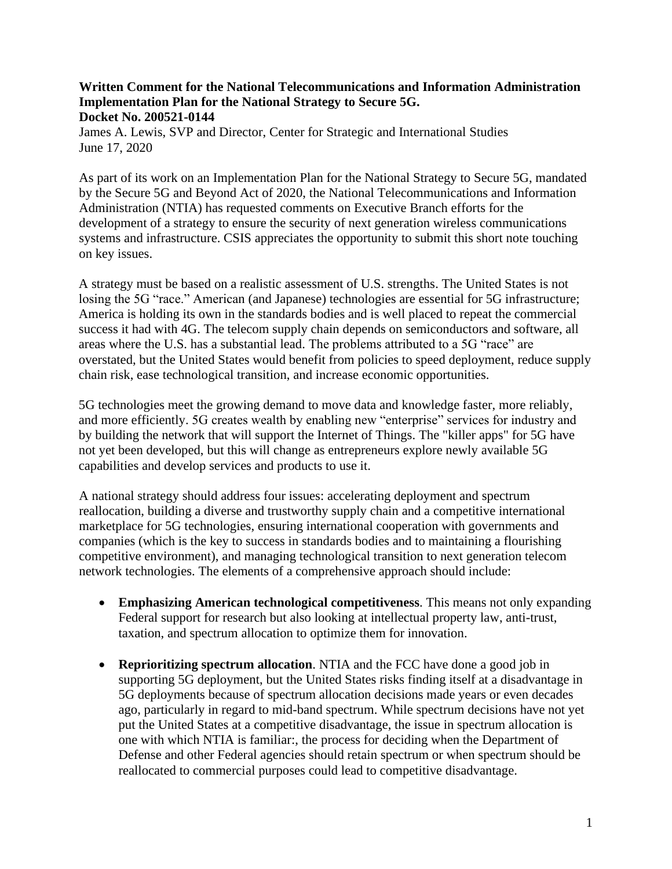## **Written Comment for the National Telecommunications and Information Administration Implementation Plan for the National Strategy to Secure 5G. Docket No. 200521-0144**

James A. Lewis, SVP and Director, Center for Strategic and International Studies June 17, 2020

As part of its work on an Implementation Plan for the National Strategy to Secure 5G, mandated by the Secure 5G and Beyond Act of 2020, the National Telecommunications and Information Administration (NTIA) has requested comments on Executive Branch efforts for the development of a strategy to ensure the security of next generation wireless communications systems and infrastructure. CSIS appreciates the opportunity to submit this short note touching on key issues.

A strategy must be based on a realistic assessment of U.S. strengths. The United States is not losing the 5G "race." American (and Japanese) technologies are essential for 5G infrastructure; America is holding its own in the standards bodies and is well placed to repeat the commercial success it had with 4G. The telecom supply chain depends on semiconductors and software, all areas where the U.S. has a substantial lead. The problems attributed to a 5G "race" are overstated, but the United States would benefit from policies to speed deployment, reduce supply chain risk, ease technological transition, and increase economic opportunities.

5G technologies meet the growing demand to move data and knowledge faster, more reliably, and more efficiently. 5G creates wealth by enabling new "enterprise" services for industry and by building the network that will support the Internet of Things. The "killer apps" for 5G have not yet been developed, but this will change as entrepreneurs explore newly available 5G capabilities and develop services and products to use it.

A national strategy should address four issues: accelerating deployment and spectrum reallocation, building a diverse and trustworthy supply chain and a competitive international marketplace for 5G technologies, ensuring international cooperation with governments and companies (which is the key to success in standards bodies and to maintaining a flourishing competitive environment), and managing technological transition to next generation telecom network technologies. The elements of a comprehensive approach should include:

- **Emphasizing American technological competitiveness**. This means not only expanding Federal support for research but also looking at intellectual property law, anti-trust, taxation, and spectrum allocation to optimize them for innovation.
- **Reprioritizing spectrum allocation**. NTIA and the FCC have done a good job in supporting 5G deployment, but the United States risks finding itself at a disadvantage in 5G deployments because of spectrum allocation decisions made years or even decades ago, particularly in regard to mid-band spectrum. While spectrum decisions have not yet put the United States at a competitive disadvantage, the issue in spectrum allocation is one with which NTIA is familiar:, the process for deciding when the Department of Defense and other Federal agencies should retain spectrum or when spectrum should be reallocated to commercial purposes could lead to competitive disadvantage.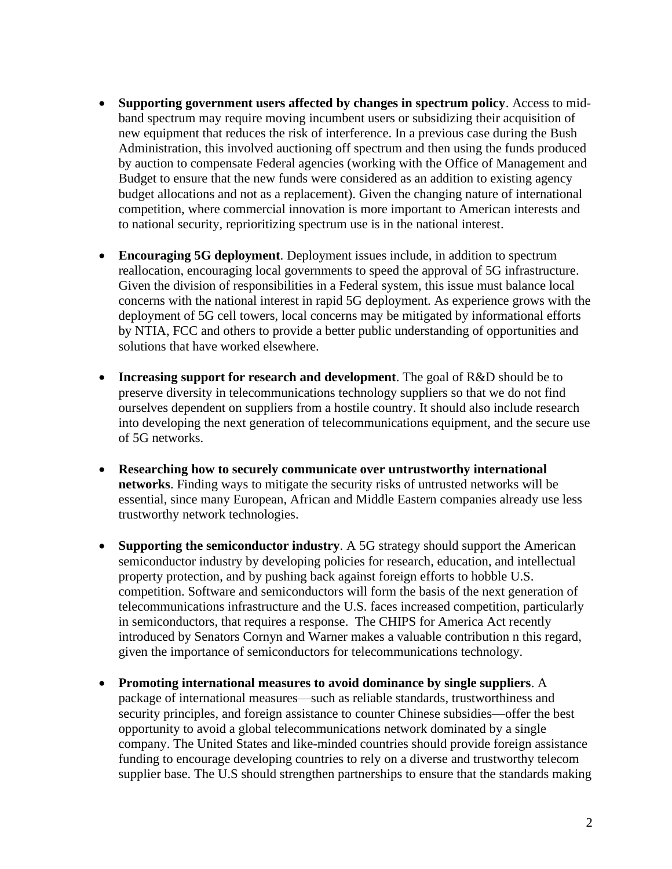- **Supporting government users affected by changes in spectrum policy**. Access to midband spectrum may require moving incumbent users or subsidizing their acquisition of new equipment that reduces the risk of interference. In a previous case during the Bush Administration, this involved auctioning off spectrum and then using the funds produced by auction to compensate Federal agencies (working with the Office of Management and Budget to ensure that the new funds were considered as an addition to existing agency budget allocations and not as a replacement). Given the changing nature of international competition, where commercial innovation is more important to American interests and to national security, reprioritizing spectrum use is in the national interest.
- **Encouraging 5G deployment**. Deployment issues include, in addition to spectrum reallocation, encouraging local governments to speed the approval of 5G infrastructure. Given the division of responsibilities in a Federal system, this issue must balance local concerns with the national interest in rapid 5G deployment. As experience grows with the deployment of 5G cell towers, local concerns may be mitigated by informational efforts by NTIA, FCC and others to provide a better public understanding of opportunities and solutions that have worked elsewhere.
- **Increasing support for research and development**. The goal of R&D should be to preserve diversity in telecommunications technology suppliers so that we do not find ourselves dependent on suppliers from a hostile country. It should also include research into developing the next generation of telecommunications equipment, and the secure use of 5G networks.
- **Researching how to securely communicate over untrustworthy international networks**. Finding ways to mitigate the security risks of untrusted networks will be essential, since many European, African and Middle Eastern companies already use less trustworthy network technologies.
- **Supporting the semiconductor industry**. A 5G strategy should support the American semiconductor industry by developing policies for research, education, and intellectual property protection, and by pushing back against foreign efforts to hobble U.S. competition. Software and semiconductors will form the basis of the next generation of telecommunications infrastructure and the U.S. faces increased competition, particularly in semiconductors, that requires a response. The CHIPS for America Act recently introduced by Senators Cornyn and Warner makes a valuable contribution n this regard, given the importance of semiconductors for telecommunications technology.
- **Promoting international measures to avoid dominance by single suppliers**. A package of international measures—such as reliable standards, trustworthiness and security principles, and foreign assistance to counter Chinese subsidies—offer the best opportunity to avoid a global telecommunications network dominated by a single company. The United States and like-minded countries should provide foreign assistance funding to encourage developing countries to rely on a diverse and trustworthy telecom supplier base. The U.S should strengthen partnerships to ensure that the standards making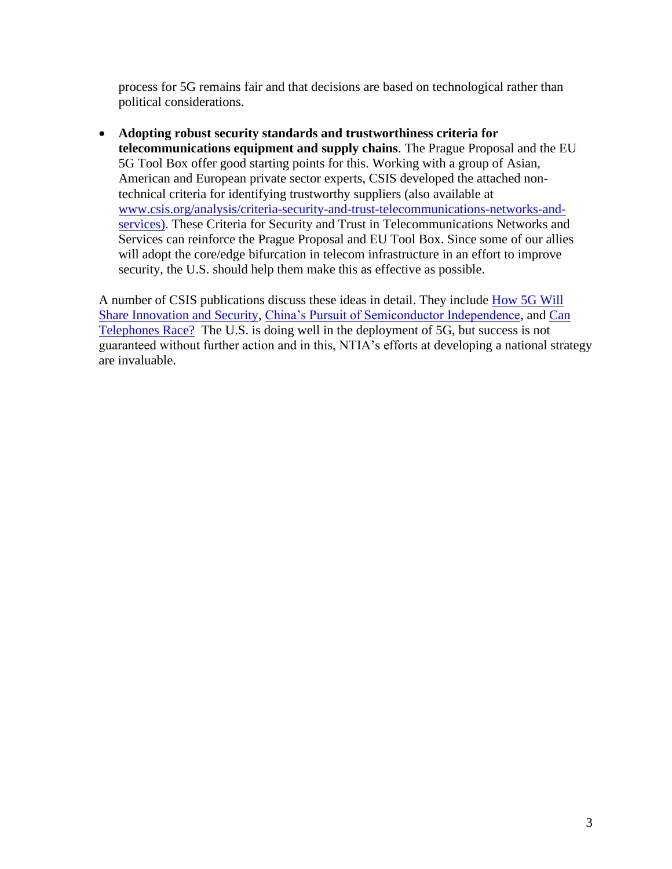process for 5G remains fair and that decisions are based on technological rather than political considerations.

• **Adopting robust security standards and trustworthiness criteria for telecommunications equipment and supply chains**. The Prague Proposal and the EU 5G Tool Box offer good starting points for this. Working with a group of Asian, American and European private sector experts, CSIS developed the attached nontechnical criteria for identifying trustworthy suppliers (also available at [www.csis.org/analysis/criteria-security-and-trust-telecommunications-networks-and](http://www.csis.org/analysis/criteria-security-and-trust-telecommunications-networks-and-services)[services\)](http://www.csis.org/analysis/criteria-security-and-trust-telecommunications-networks-and-services). These Criteria for Security and Trust in Telecommunications Networks and Services can reinforce the Prague Proposal and EU Tool Box. Since some of our allies will adopt the core/edge bifurcation in telecom infrastructure in an effort to improve security, the U.S. should help them make this as effective as possible.

A number of CSIS publications discuss these ideas in detail. They include [How 5G Will](https://www.csis.org/analysis/how-5g-will-shape-innovation-and-security)  [Share Innovation](https://www.csis.org/analysis/how-5g-will-shape-innovation-and-security) and Security, [China's Pursuit of Semiconductor Independence,](https://csis-prod.s3.amazonaws.com/s3fs-public/publication/190115_Lewis_Semiconductor_v6.pdf) and [Can](https://www.csis.org/analysis/can-telephones-race-5g-and-evolution-telecom)  [Telephones Race?](https://www.csis.org/analysis/can-telephones-race-5g-and-evolution-telecom) The U.S. is doing well in the deployment of 5G, but success is not guaranteed without further action and in this, NTIA's efforts at developing a national strategy are invaluable.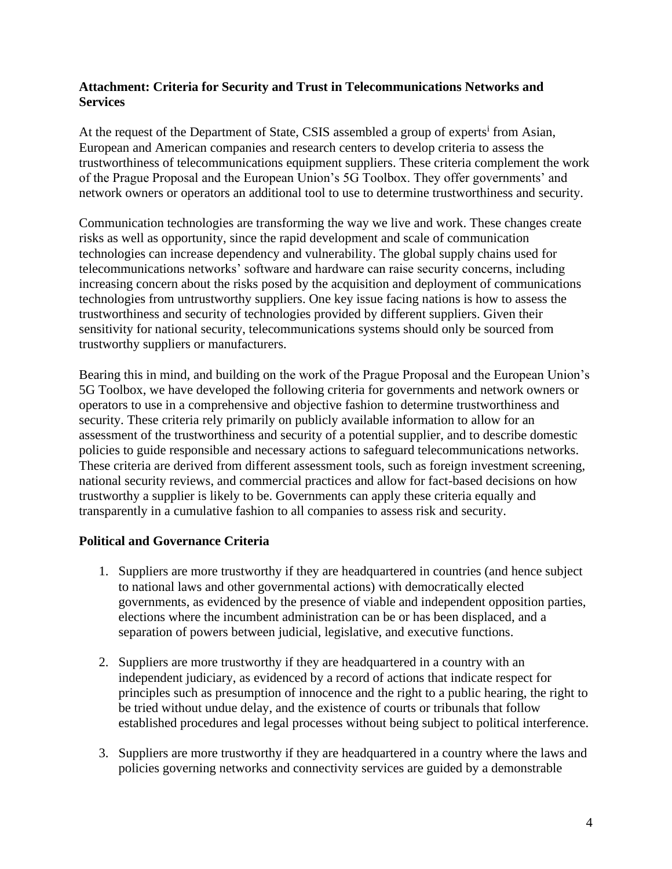## **Attachment: Criteria for Security and Trust in Telecommunications Networks and Services**

At the request of the Department of State, CSIS assembled a group of experts<sup>i</sup> from Asian, European and American companies and research centers to develop criteria to assess the trustworthiness of telecommunications equipment suppliers. These criteria complement the work of the Prague Proposal and the European Union's 5G Toolbox. They offer governments' and network owners or operators an additional tool to use to determine trustworthiness and security.

Communication technologies are transforming the way we live and work. These changes create risks as well as opportunity, since the rapid development and scale of communication technologies can increase dependency and vulnerability. The global supply chains used for telecommunications networks' software and hardware can raise security concerns, including increasing concern about the risks posed by the acquisition and deployment of communications technologies from untrustworthy suppliers. One key issue facing nations is how to assess the trustworthiness and security of technologies provided by different suppliers. Given their sensitivity for national security, telecommunications systems should only be sourced from trustworthy suppliers or manufacturers.

Bearing this in mind, and building on the work of the Prague Proposal and the European Union's 5G Toolbox, we have developed the following criteria for governments and network owners or operators to use in a comprehensive and objective fashion to determine trustworthiness and security. These criteria rely primarily on publicly available information to allow for an assessment of the trustworthiness and security of a potential supplier, and to describe domestic policies to guide responsible and necessary actions to safeguard telecommunications networks. These criteria are derived from different assessment tools, such as foreign investment screening, national security reviews, and commercial practices and allow for fact-based decisions on how trustworthy a supplier is likely to be. Governments can apply these criteria equally and transparently in a cumulative fashion to all companies to assess risk and security.

# **Political and Governance Criteria**

- 1. Suppliers are more trustworthy if they are headquartered in countries (and hence subject to national laws and other governmental actions) with democratically elected governments, as evidenced by the presence of viable and independent opposition parties, elections where the incumbent administration can be or has been displaced, and a separation of powers between judicial, legislative, and executive functions.
- 2. Suppliers are more trustworthy if they are headquartered in a country with an independent judiciary, as evidenced by a record of actions that indicate respect for principles such as presumption of innocence and the right to a public hearing, the right to be tried without undue delay, and the existence of courts or tribunals that follow established procedures and legal processes without being subject to political interference.
- 3. Suppliers are more trustworthy if they are headquartered in a country where the laws and policies governing networks and connectivity services are guided by a demonstrable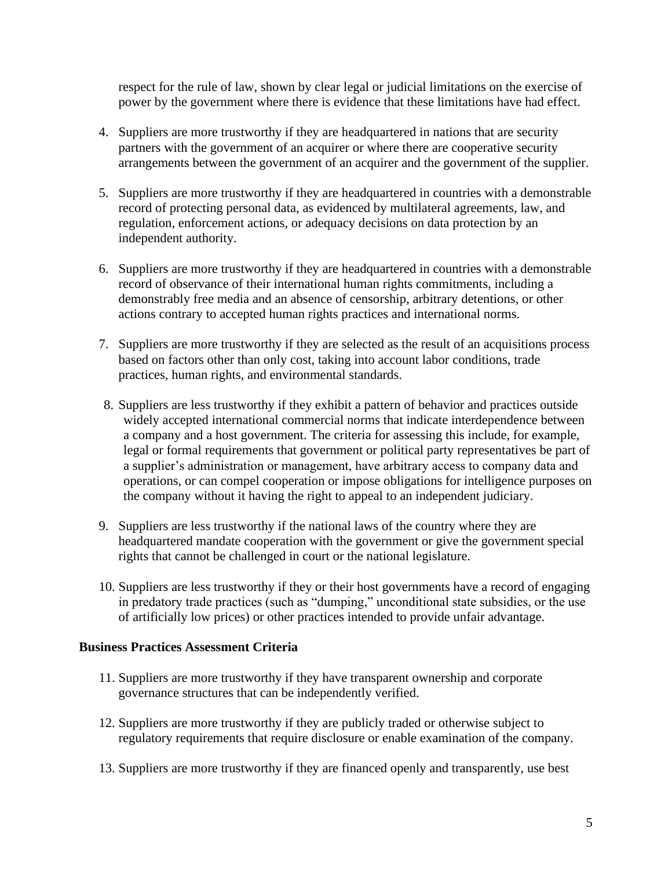respect for the rule of law, shown by clear legal or judicial limitations on the exercise of power by the government where there is evidence that these limitations have had effect.

- 4. Suppliers are more trustworthy if they are headquartered in nations that are security partners with the government of an acquirer or where there are cooperative security arrangements between the government of an acquirer and the government of the supplier.
- 5. Suppliers are more trustworthy if they are headquartered in countries with a demonstrable record of protecting personal data, as evidenced by multilateral agreements, law, and regulation, enforcement actions, or adequacy decisions on data protection by an independent authority.
- 6. Suppliers are more trustworthy if they are headquartered in countries with a demonstrable record of observance of their international human rights commitments, including a demonstrably free media and an absence of censorship, arbitrary detentions, or other actions contrary to accepted human rights practices and international norms.
- 7. Suppliers are more trustworthy if they are selected as the result of an acquisitions process based on factors other than only cost, taking into account labor conditions, trade practices, human rights, and environmental standards.
- 8. Suppliers are less trustworthy if they exhibit a pattern of behavior and practices outside widely accepted international commercial norms that indicate interdependence between a company and a host government. The criteria for assessing this include, for example, legal or formal requirements that government or political party representatives be part of a supplier's administration or management, have arbitrary access to company data and operations, or can compel cooperation or impose obligations for intelligence purposes on the company without it having the right to appeal to an independent judiciary.
- 9. Suppliers are less trustworthy if the national laws of the country where they are headquartered mandate cooperation with the government or give the government special rights that cannot be challenged in court or the national legislature.
- 10. Suppliers are less trustworthy if they or their host governments have a record of engaging in predatory trade practices (such as "dumping," unconditional state subsidies, or the use of artificially low prices) or other practices intended to provide unfair advantage.

#### **Business Practices Assessment Criteria**

- 11. Suppliers are more trustworthy if they have transparent ownership and corporate governance structures that can be independently verified.
- 12. Suppliers are more trustworthy if they are publicly traded or otherwise subject to regulatory requirements that require disclosure or enable examination of the company.
- 13. Suppliers are more trustworthy if they are financed openly and transparently, use best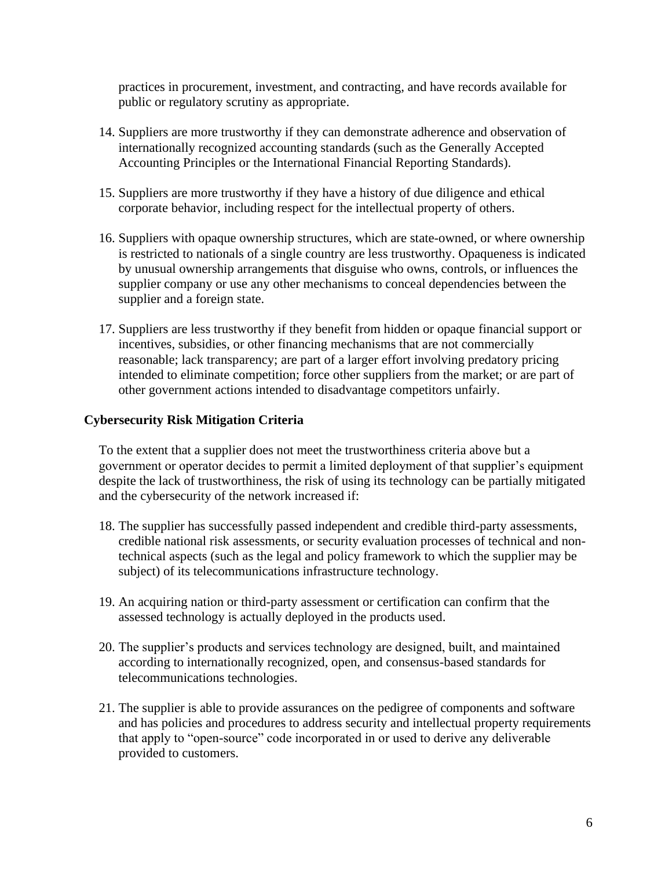practices in procurement, investment, and contracting, and have records available for public or regulatory scrutiny as appropriate.

- 14. Suppliers are more trustworthy if they can demonstrate adherence and observation of internationally recognized accounting standards (such as the Generally Accepted Accounting Principles or the International Financial Reporting Standards).
- 15. Suppliers are more trustworthy if they have a history of due diligence and ethical corporate behavior, including respect for the intellectual property of others.
- 16. Suppliers with opaque ownership structures, which are state-owned, or where ownership is restricted to nationals of a single country are less trustworthy. Opaqueness is indicated by unusual ownership arrangements that disguise who owns, controls, or influences the supplier company or use any other mechanisms to conceal dependencies between the supplier and a foreign state.
- 17. Suppliers are less trustworthy if they benefit from hidden or opaque financial support or incentives, subsidies, or other financing mechanisms that are not commercially reasonable; lack transparency; are part of a larger effort involving predatory pricing intended to eliminate competition; force other suppliers from the market; or are part of other government actions intended to disadvantage competitors unfairly.

# **Cybersecurity Risk Mitigation Criteria**

To the extent that a supplier does not meet the trustworthiness criteria above but a government or operator decides to permit a limited deployment of that supplier's equipment despite the lack of trustworthiness, the risk of using its technology can be partially mitigated and the cybersecurity of the network increased if:

- 18. The supplier has successfully passed independent and credible third-party assessments, credible national risk assessments, or security evaluation processes of technical and nontechnical aspects (such as the legal and policy framework to which the supplier may be subject) of its telecommunications infrastructure technology.
- 19. An acquiring nation or third-party assessment or certification can confirm that the assessed technology is actually deployed in the products used.
- 20. The supplier's products and services technology are designed, built, and maintained according to internationally recognized, open, and consensus-based standards for telecommunications technologies.
- 21. The supplier is able to provide assurances on the pedigree of components and software and has policies and procedures to address security and intellectual property requirements that apply to "open-source" code incorporated in or used to derive any deliverable provided to customers.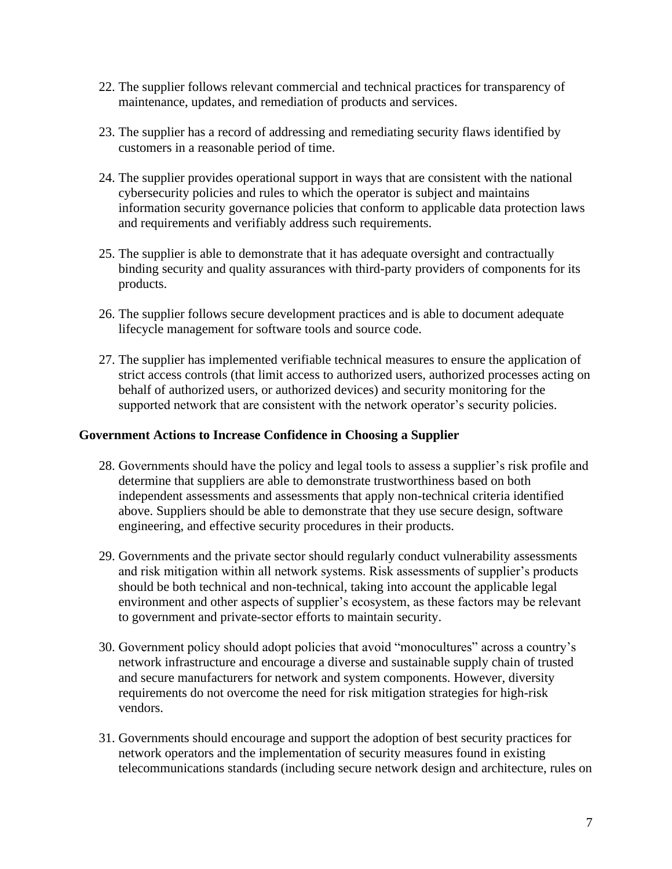- 22. The supplier follows relevant commercial and technical practices for transparency of maintenance, updates, and remediation of products and services.
- 23. The supplier has a record of addressing and remediating security flaws identified by customers in a reasonable period of time.
- 24. The supplier provides operational support in ways that are consistent with the national cybersecurity policies and rules to which the operator is subject and maintains information security governance policies that conform to applicable data protection laws and requirements and verifiably address such requirements.
- 25. The supplier is able to demonstrate that it has adequate oversight and contractually binding security and quality assurances with third-party providers of components for its products.
- 26. The supplier follows secure development practices and is able to document adequate lifecycle management for software tools and source code.
- 27. The supplier has implemented verifiable technical measures to ensure the application of strict access controls (that limit access to authorized users, authorized processes acting on behalf of authorized users, or authorized devices) and security monitoring for the supported network that are consistent with the network operator's security policies.

### **Government Actions to Increase Confidence in Choosing a Supplier**

- 28. Governments should have the policy and legal tools to assess a supplier's risk profile and determine that suppliers are able to demonstrate trustworthiness based on both independent assessments and assessments that apply non-technical criteria identified above. Suppliers should be able to demonstrate that they use secure design, software engineering, and effective security procedures in their products.
- 29. Governments and the private sector should regularly conduct vulnerability assessments and risk mitigation within all network systems. Risk assessments of supplier's products should be both technical and non-technical, taking into account the applicable legal environment and other aspects of supplier's ecosystem, as these factors may be relevant to government and private-sector efforts to maintain security.
- 30. Government policy should adopt policies that avoid "monocultures" across a country's network infrastructure and encourage a diverse and sustainable supply chain of trusted and secure manufacturers for network and system components. However, diversity requirements do not overcome the need for risk mitigation strategies for high-risk vendors.
- 31. Governments should encourage and support the adoption of best security practices for network operators and the implementation of security measures found in existing telecommunications standards (including secure network design and architecture, rules on